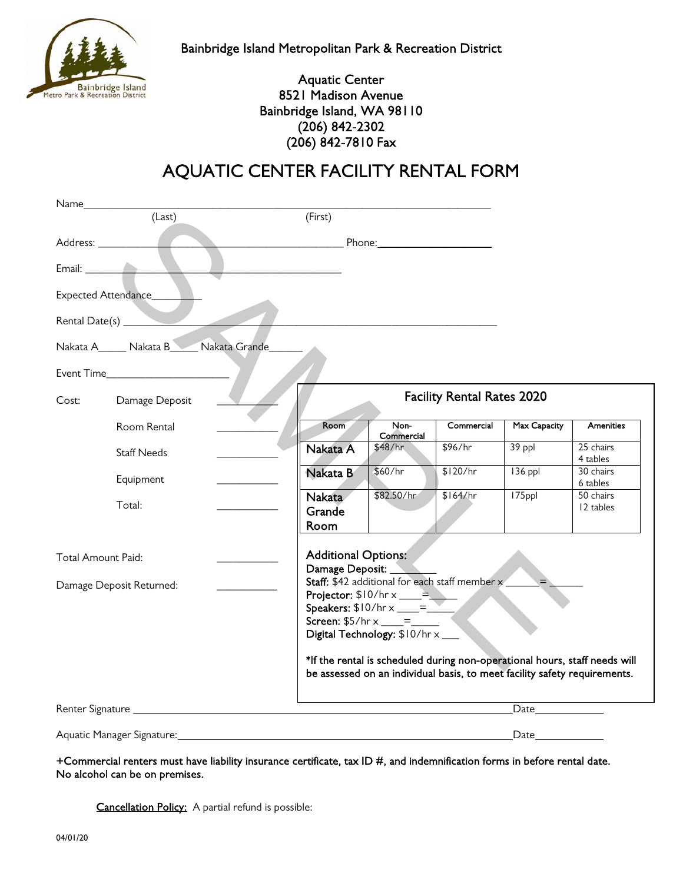

Bainbridge Island Metropolitan Park & Recreation District

## Aquatic Center 8521 Madison Avenue Bainbridge Island, WA 98110 (206) 842-2302 (206) 842-7810 Fax

## AQUATIC CENTER FACILITY RENTAL FORM

| Name_                           |                                 |                                                                                                                                                                                                     |            |                                                                                                                |                        |  |
|---------------------------------|---------------------------------|-----------------------------------------------------------------------------------------------------------------------------------------------------------------------------------------------------|------------|----------------------------------------------------------------------------------------------------------------|------------------------|--|
| (Last)                          | (First)                         |                                                                                                                                                                                                     |            |                                                                                                                |                        |  |
| Address: 1988                   |                                 | Phone: $\sqrt{ }$                                                                                                                                                                                   |            |                                                                                                                |                        |  |
|                                 |                                 |                                                                                                                                                                                                     |            |                                                                                                                |                        |  |
| Expected Attendance____         |                                 |                                                                                                                                                                                                     |            |                                                                                                                |                        |  |
| Rental Date(s) _______          |                                 |                                                                                                                                                                                                     |            |                                                                                                                |                        |  |
| Nakata A Nakata B Nakata Grande |                                 |                                                                                                                                                                                                     |            |                                                                                                                |                        |  |
|                                 |                                 |                                                                                                                                                                                                     |            |                                                                                                                |                        |  |
| Cost:<br>Damage Deposit         |                                 | <b>Facility Rental Rates 2020</b>                                                                                                                                                                   |            |                                                                                                                |                        |  |
| Room Rental                     | Room                            | Non-<br>Commercial                                                                                                                                                                                  | Commercial | Max Capacity                                                                                                   | Amenities              |  |
| <b>Staff Needs</b>              | Nakata A                        | \$48/hr                                                                                                                                                                                             | \$96/hr    | 39 ppl                                                                                                         | 25 chairs<br>4 tables  |  |
| Equipment                       | Nakata B                        | \$60/hr                                                                                                                                                                                             | \$120/hr   | $136$ ppl                                                                                                      | 30 chairs<br>6 tables  |  |
| Total:                          | <b>Nakata</b><br>Grande<br>Room | \$82.50/hr                                                                                                                                                                                          | \$164/hr   | 175ppl                                                                                                         | 50 chairs<br>12 tables |  |
| Total Amount Paid:              | <b>Additional Options:</b>      |                                                                                                                                                                                                     |            |                                                                                                                |                        |  |
| Damage Deposit Returned:        | Damage Deposit: _               | Staff: \$42 additional for each staff member x<br>Projector: $$10/hr \times _{\_} =$<br>Speakers: $$10/hr \times 2 = 2$<br><b>Screen:</b> $$5/hr \times \_ = =$<br>Digital Technology: \$10/hr x __ |            | $\blacklozenge$                                                                                                |                        |  |
|                                 |                                 | *If the rental is scheduled during non-operational hours, staff needs will<br>be assessed on an individual basis, to meet facility safety requirements.                                             |            |                                                                                                                |                        |  |
|                                 |                                 |                                                                                                                                                                                                     |            | Date and the same of the same of the same of the same of the same of the same of the same of the same of the s |                        |  |
| Aquatic Manager Signature:      |                                 |                                                                                                                                                                                                     |            | Date                                                                                                           |                        |  |

+Commercial renters must have liability insurance certificate, tax ID #, and indemnification forms in before rental date. No alcohol can be on premises.

Cancellation Policy: A partial refund is possible: